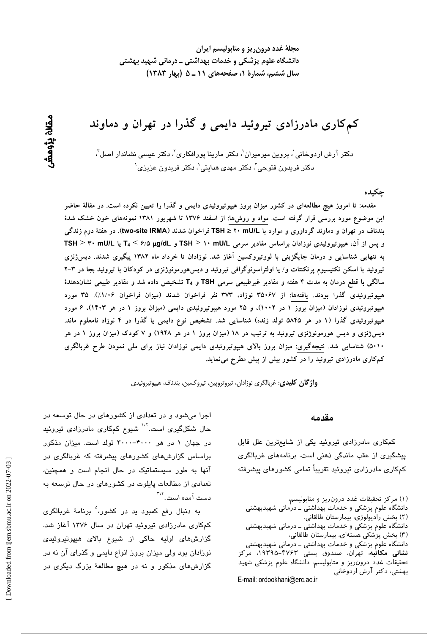مجلهٔ غدد درون ریز و متابولیسم ایران دانشگاه علوم پزشکی و خدمات بهداشتی ــ درمانی شهید بهشتی سال ششم، شمارهٔ ۱، صفحههای ۱۱ ـ ۵ (بهار ۱۳۸۳)

کمکاری مادرزادی تیروئید دایمی و گذرا در تهران و دماوند

دکتر آرش اردوخانی'، پروین میرمیران'، دکتر مارینا پورافکاری'، دکتر عی*سی* نشاندار اصل<sup>''</sup>، دکتر فریدون فتوحی ؒ، دکتر مهدی هدایتی ٰ، دکتر فریدون عزیزی ٰ

ڃکيده

مقدمه: تا امروز هیچ مطالعهای در کشور میزان بروز هیپوتیروئیدی دایمی و گذرا را تعیین نکرده است. در مقالهٔ حاضر این موضوع مورد بررسی قرار گرفته است. مواد و روش۵ا: از اسفند ۱۳۷۶ تا شهریور ۱۳۸۱ نمونههای خون خشک شدهٔ بندناف در تهران و دماوند گرداوری و موارد با TSH ≥ ۲۰ mU/L فراخوان شدند (two-site IRMA). در هفتهٔ دوم زندگی و یس از آن، هیپوتیروئیدی نوزادان براساس مقادیر سرمی TSH > ۱۰ mU/L و T4 < ۶/۵ µg/dL یا TSH > ۳۰ mU/L به تنهایی شناسایی و درمان جایگزینی با لووتیروکسین آغاز شد. نوزادان تا خرداد ماه ۱۳۸۲ پیگیری شدند. دیس ژنزی تیروئید با اسکن تکنیسیوم پرتکنتات و/ یا اولتراسونوگرافی تیروئید و دیسهورمونوژنزی در کودکان با تیروئید بجا در ۳-۲ سالگی با قطع درمان به مدت ۴ هفته و مقادیر غیرطبیعی سرمی TSH و T4 تشخیص داده شد و مقادیر طبیعی نشاندهندهٔ هیپوتیروئیدی گذرا بودند. یافتهها: از ۳۵۰۶۷ نوزاد، ۳۷۳ نفر فراخوان شدند (میزان فراخوان ۱/۰۶٪). ۳۵ مورد هیپوتیروئیدی نوزادان (میزان بروز ۱ در ۱۰۰۲)، و ۲۵ مورد هیپوتیروئیدی دایمی (میزان بروز ۱ در هر ۱۴۰۳)، ۶ مورد هیپوتیروئیدی گذرا (۱ در هر ۵۸۴۵ تولد زنده) شناسایی شد. تشخیص نوع دایمی یا گذرا در ۴ نوزاد نامعلوم ماند. دیسژنزی و دیس هورمونوژنزی تیروئید به ترتیب در ۱۸ (میزان بروز ۱ در هر ۱۹۴۸) و ۷ کودک (میزان بروز ۱ در هر ۵۰۱۰) شناسایی شد. نتیجهگیری: میزان بروز بالای هیپوتیروئیدی دایمی نوزادان نیاز برای ملی نمودن طرح غربالگری کمکاری مادرزادی تیروئید را در کشور بیش از پیش مطرح می نماید.

**واژگان کلیدی**: غربالگری نوزادان، تیروتروپین، تیروکسین، بندناف، هیپوتیروئیدی

#### مقدمه

کمکاری مادرزادی تیروئید یکی از شایعترین علل قابل پیشگیری از عقب ماندگی ذهنی است. برنامههای غربالگری کمکاری مادرزادی تیروئید تقریباً تمامی کشورهای پیشرفته

(١) مركز تحقيقات غدد درون ريز و متابوليسم،

دانشگاه علوم پزشکی و خدمات بهداشتی ــ درٰمانی شهیدبهشتی (۲) بخش رادیولوژی، بیمارستان طالقانی، دانشگاه علوم پزشکی و خدمات بهداشتی ـ درمانی شهیدبهشتی

(۳) بخش پزشکی هستهای، بیمارستان طالقانی،

دانشگاه علوم پزشکی و خدمات بهداشتی ــ درمانی شهیدبهشتی نشانی مکاتبه: تهران، صندوق پستی ۴۷۶۳–۱۹۳۹۵، مرکز تحقیقات غدد درون ریز و متابولیسم، دانشگاه علوم پزشکی شهید بهشتی، دکتر آرش اردوخانی

اجرا میشود و در تعدادی از کشورهای در حال توسعه در حال شکلگیری است.<sup>'</sup>`` شیوع کمکاری مادرزادی تیروئید در جهان ۱ در هر ۴۰۰۰-۳۰۰۰ تولد است. میزان مذکور براساس گزارشهای کشورهای پیشرفته که غربالگری در آنها به طور سیستماتیک در حال انجام است و همچنین، تعدادی از مطالعات پایلوت در کشورهای در حال توسعه به دست آمده است. ۳٬۴

به دنبال رفع کمبود ید در کشور، ٌ برنامهٔ غربالگری کمکاری مادرزادی تیروئید تهران در سال ۱۳۷۶ آغاز شد. گزارش های اولیه حاکی از شیوع بالای هیپوتیروئیدی نوزادان بود ولی میزان بروز انواع دایمی و گذرای آن نه در گزارشهای مذکور و نه در هیچ مطالعهٔ بزرگ دیگری در

E-mail: ordookhani@erc.ac.ir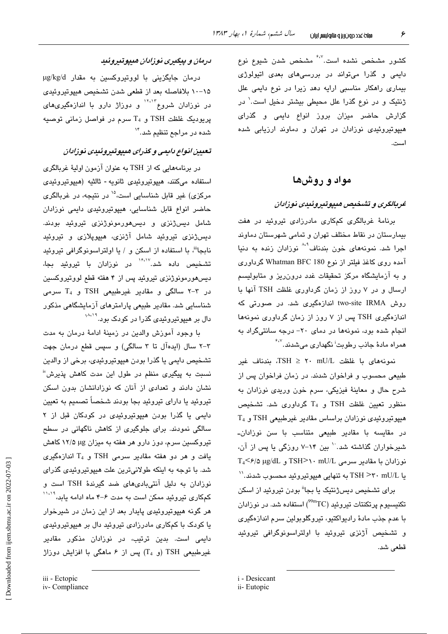کشور مشخص نشده است.<sup>۶۰۷</sup> مشخص شدن شیوع نوع دایمی و گذرا میتواند در بررسیهای بعدی اتبولوژی بیماری راهکار مناسبی ارایه دهد زیرا در نوع دایمی علل ژنتیک و در نوع گذرا علل محیطی بیشتر دخیل است.<sup>\</sup> در گزارش حاضر میزان بروز انواع دایمی و گذرای هیپوتیروئیدی نوزادان در تهران و دماوند ارزیابی شده است.

## مواد و روشها

### غربالگری و تشخیص هیپوتیروئیدی نوزادان

برنامهٔ غربالگری کمکاری مادرزادی تیروئید در هفت بیمارستان در نقاط مختلف تهران و تمامی شهرستان دماوند اجرا شد. نمونههای خون بندناف<sup>4.۸</sup> نوزادان زنده به دنیا آمده روی کاغذ فیلتر از نوع Whatman BFC 180 گرداوری و به آزمایشگاه مرکز تحقیقات غدد درون ریز و متابولسیم ارسال و در ۷ روز از زمان گرداوری غلظت TSH آنها با روش two-site IRMA اندازهگیری شد. در صورتی که اندازهگیری TSH پس از ۷ روز از زمان گرداوری نمونهها انجام شده بود، نمونهها در دمای ۲۰- درجه سانتیگراد به همراه مادهٔ جاذب رطوبت<sup>اً</sup> نگهدار*ی* میشدند.<sup>۶،۷</sup>

 $TSH \ge 11$  in  $TSH \ge 11$  in  $H = 11$  in  $\Delta t = 11$ طبیعی محسوب و فراخوان شدند. در زمان فراخوان پس از شرح حال و معاينهٔ فيزيکي، سرم خون وريدي نوزادان به منظور تعیین غلظت TSH و T<sub>4</sub> گرداوری شد. تشخیص  $T_4$  هیپوتیروئیدی نوزادان براساس مقادیر غیرطبیعی TSH و در مقاسیه یا مقادیر طبیعی متناسب یا سن نوزادان۔ شیرخواران گذاشته شد. `` بین ۱۴-۷ روزگی یا پس از آن،  $T_4$ <  $\epsilon$ /0 µg/dL و TSH>۱۰ mU/L و نوزادان با مقادیر سرمی یا TSH >۳۰ mU/L به تنهایی هیپوتیروئید محسوب شدند.''

برا*ی* تشخیص دیسژنتیک یا بجا<sup>ة</sup> بودن تیروئید از اسکن تکنیسیوم پرتکنتات تیروئید (TC°°) استفاده شد. در نوزادان با عدم جذب مادهٔ رادیواکتیو، تیروگلوبولین سرم اندازهگیری و تشخیص آژنزی تیروئید با اولتراسونوگرافی تیروئید قطعي شد.

### درمان و پیگیری نوزادان هیپوتیروئید

درمان جایگزینی با لووتیروکسین به مقدار µg/kg/d ۰۵–۱۰ بلافاصله بعد از قطعی شدن تشخیص هیپوتیروئیدی در نوزادان شروع<sup>۱۲،۱۲</sup> و دوزاژ دارو با اندازهگیریهای پریودیک غلظت TSH و T<sub>4</sub> سرم در فواصل زمانی توصیه شده در مراجع تنظیم شد."`

### تعیین انواع دایمی و گذرای هیپوتیروئیدی نوزادان

در برنامههایی که از TSH به عنوان آزمون اولیهٔ غربالگری استفاده مىكنند، هيپوتيروئيدى ثانويه - ثالثيه (هيپوتيروئيدى مرکزی) غیر قابل شناسایی است،<sup>۱۵</sup> در نتیجه، در غربالگری حاضر انواع قابل شناسایی، هیپوتیروئیدی دایمی نوزادان شامل دیسژنزی و دیسهورمونوژنزی تیروئید بودند. دیسژنزی تیروئید شامل آژنزی، هیپوپلازی و تیروئی*د* نابجا"، با استفاده از اسکن و / یا اولتراسونوگرافی تیروئید .<br>تشخیص داده شد.۱<sup>۶،۱۷</sup> در نوزادان با تیروئید بجا، دیسهورمونوژنزی تیروئید پس از ۴ هفته قطع لووتیروکسین در ۳-۲ سالگی و مقادیر غیرطبیعی TSH و  $T_4$  سرمی شناسایی شد. مقادیر طبیعی پارامترهای آزمایشگاهی مذکور دال بر هیپوتیروئی*دی* گذرا در کودک بود.<sup>۱۸،۱۹</sup>

با وجود آموزش والدین در زمینهٔ ادامهٔ درمان به مدت ۳-۲ سال (ایدهآل تا ۳ سالگی) و سپس قطع درمان جهت تشخيص دايمي يا گذرا بودن هيپوتيروئيدي، برخي از والدين نسبت به پیگیر*ی* منظم در طول این مدت کاهش پذیرش<sup>۷</sup> نشان دادند و تعدادی از آنان که نوزادانشان بدون اسکن تیروئید یا دارای تیروئید بجا بودند شخصاً تصمیم به تعیین دایمی یا گذرا بودن هیپوتیروئیدی در کودکان قبل از ۲ سالگی نمودند. برای جلوگیری از کاهش ناگهانی در سطح تیروکسین سرم، دوز دارو هر هفته به میزان ۱۲/۵ با ۱۲/۵ کاهش یافت و هر دو هفته مقادیر سرمی TSH و T<sub>4</sub> اندازهگیری شد. با توجه به اینکه طولانیترین علت هیپوتیروئیدی گذرای .<br>نوزادان به دلیل آنتیبادیهای ضد گیرندهٔ TSH است و کمکاری تیروئید ممکن است به مدت ۶–۴ ماه ادامه یاند،<sup>۱٬۰۱۹</sup> هر گونه هیپوتیروئیدی پایدار بعد از این زمان در شیرخوار یا کودک با کمکاری مادرزادی تیروئید دال بر هیپوتیروئیدی دایمی است. بدین ترتیب، در نوزادان مذکور مقادیر غیرطبیعی TSH (و T<sub>4</sub>) پس از ۶ ماهگی با افزایش دوزاژ

i - Desiccant

ii- Eutopic

iii - Ectopic

iv-Compliance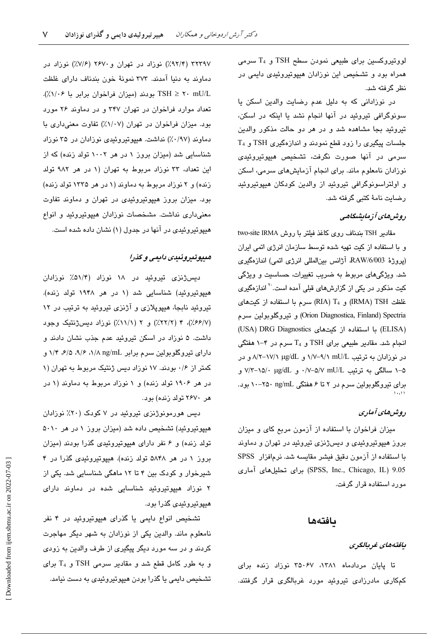لووتيروكسين براي طبيعي نمودن سطح TSH و T4 سرمي همراه بود و تشخیص این نوزادان هیپوتیروئیدی دایمی در نظر گر فته شد.

در نوزادانی که به دلیل عدم رضایت والدین اسکن یا سونوگرافی تیروئید در آنها انجام نشد یا اینکه در اسکن، تيروئيد بجا مشاهده شد و در هر دو حالت مذكور والدين T4 و TSH و T4 دود قطع نمودند و اندازهگیری TSH و سرمی در آنها صورت نگرفت، تشخیص هیپوتیروئیدی نوزادان نامعلوم ماند. برای انجام آزمایشهای سرمی، اسکن و اولتراسونوگرافی تیروئید از والدین کودکان هیپوتیروئید رضايت نامهٔ کتبی گرفته شد.

## روشهای آزمایشگاهی

مقادیر TSH بندناف روی کاغذ فیلتر با روش two-site IRMA و با استفاده از کیت تهیه شده توسط سازمان انرژی اتمی ایران (يروژهٔ RAW/6/003 آژانس بين المللي انرژي اتمي) اندازهگيري شد. ویژگیهای مربوط به ضریب تغییرات، حساسیت و ویژگی کیت مذکور در یکی از گزارشهای قبلی آمده است.<sup>۲۰</sup> اندازهگیری غلظت IRMA) TSH) و RIA) T4) سرم با استفاده از کیتهای Orion Diagnostica, Finland) Spectria) و تيروگلوبولين سىرم (ELISA) با استفاده از کیتهای USA) DRG Diagnostics انجام شد. مقادیر طبیعی برای TSH و T4 سرم در ۴-۱ هفتگی در نوزادان به ترتیب nU/L^-۱/۱ nD/L و A/۲–۱۷/۱ μg/dL و در ۵–۱ سالگی به ترتیب W−۵/۷ mU/L، و v/۳–۱۵/۰ μg/dL و v/۳–۱۵/۰ برای تیروگلوپولین سرم در ۲ تا ۶ هفتگی ng/mL ۲۵۰ بود.

### روش های آماری

میزان فراخوان با استفاده از آزمون مربع کای و میزان بروز هیپوتیروئیدی و دیسژنزی تیروئید در تهران و دماوند با استفاده از آزمون دقیق فیشر مقایسه شد. نرمافزار SPSS 9.05 (SPSS, Inc., Chicago, IL) برای تحلیلهای آماری موړ د استفاده قرار گرفت.

#### بافتهها

#### يافتەھاي غربالگرى

تا یابان مردادماه ۱۳۸۱، ۳۵۰۶۷ نوزاد زنده برای کمکاری مادرزادی تیروئید مورد غربالگری قرار گرفتند.

٣٢٣٩٧ (٩٢/٣٪) نوزاد در تهران و٢۶٧٠ (٧/۶٪) نوزاد در دماوند به دنیا آمدند. ۳۷۳ نمونهٔ خون بندناف دارای غلظت TSH ≥ ۲۰ mU/L بودند (میزان فراخوان برابر با ۱/۰۶٪). تعداد موارد فراخوان در تهران ٣۴٧ و در دماوند ٢۶ مورد بود. میزان فراخوان در تهران (١/٠٧٪) تفاوت معنیداری با دماوند (۰/۹۷٪) نداشت. هیپوتیروئیدی نوزادان در ۳۵ نوزاد شناسایی شد (میزان بروز ۱ در هر ۱۰۰۲ تولد زنده) که از این تعداد، ۳۳ نوزاد مربوط به تهران (۱ در هر ۹۸۲ تولد زنده) و ۲ نوزاد مربوط به دماوند (۱ در هر ۱۳۳۵ تولد زنده) بود. میزان بروز هیپوتیروئیدی در تهران و دماوند تفاوت معنی،داری نداشت. مشخصات نوزادان هیپوتیروئید و انواع هیپوتیروئیدی در آنها در جدول (۱) نشان داده شده است.

### هيپوتيروئيدي دايمي و گذرا

دیسژنزی تیروئید در ۱۸ نوزاد (۵۱/۴٪ نوزادان هیپوتیروئید) شناسایی شد (۱ در هر ۱۹۴۸ تولد زنده). تیروئید نابجا، هیپوپلازی و آژنزی تیروئید به ترتیب در ۱۲ (٢/٤۶/٧٪)، ۴ (٢/٢٢٪) و ٢ (١/١١٪) نوزاد ديسژنتيک وجود داشت. ۵ نوزاد در اسکن تیروئید عدم جذب نشان دادند و دارای تیروگلوبولین سرم برابر ng/mL ۱/۸ ۰۶/۵ ، ۶/۵ ، ۱/۴ کمتر از ۱۶ بودند. ۱۷ نوزاد دیس ژنتیک مربوط به تهران (۱ در هر ۱۹۰۶ تولد زنده) و ۱ نوزاد مربوط به دماوند (۱ در هر ۲۶۷۰ تولد زنده) بود.

دیس هورمونوژنزی تیروئید در ۷ کودک (۲۰٪ نوزادان هیپوتیروئید) تشخیص داده شد (میزان بروز ۱ در هر ۵۰۱۰ تولد زنده) و ۶ نفر دارای هیپوتیروئیدی گذرا بودند (میزان بروز ۱ در هر ۵۸۴۸ تولد زنده). هیپوتیروئیدی گذرا در ۴ شیرخوار و کودک بین ۴ تا ۱۲ ماهگی شناسایی شد. یکی از ۲ نوزاد هیپوتیروئید شناسایی شده در دماوند دارای هیپوتیروئی*دی* گذرا بود.

تشخیص انواع دایمی یا گذرای هیپوتیروئید در ۴ نفر نامعلوم ماند. والدین یکی از نوزادان به شهر دیگر مهاجرت کردند و در سه مورد دیگر پیگیری از طرف والدین به زودی و به طور کامل قطع شد و مقادیر سرمی TSH و  $T_4$  برای تشخیص دایمی یا گذرا بودن هیپوتیروئیدی به دست نیامد.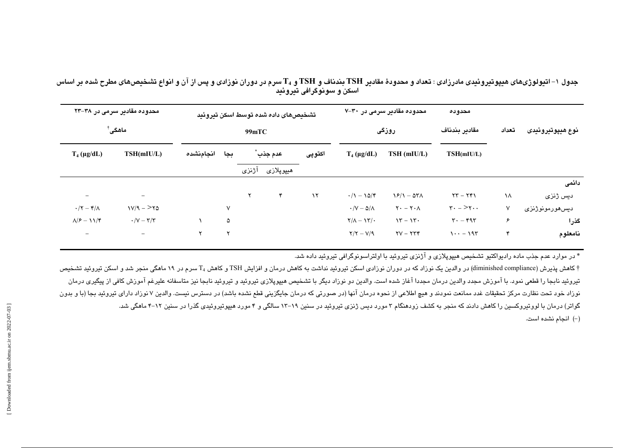جدول ۱– اتیولوژیهای هیپوتیروئیدی مادرزادی : تعداد و محدودهٔ مقادیر TSH بندناف و TSH و  $\rm T_{4}$  سرم در دوران نوزادی و پس از آن و انواع تشخیصهای مطرح شده بر اساس اسکن و سونوگرافی تیروئید ً

| محدوده مقادیر سرمی در ۳۸–۲۳<br>ماهگی ٔ |                                          | تشخيصهاى داده شده توسط اسكن تيروئيد |     |           |                   |           | محدوده مقادیر سرمی در ۳۰–۷       |                                   | محدوده                                                |       |                        |
|----------------------------------------|------------------------------------------|-------------------------------------|-----|-----------|-------------------|-----------|----------------------------------|-----------------------------------|-------------------------------------------------------|-------|------------------------|
|                                        |                                          | 99mTC                               |     |           |                   |           | روزگی                            |                                   | مقادير بندناف                                         | تعداد | نوع هيپوتيروئيدى       |
| $T_4$ (µg/dL)                          | TSH(mIU/L)                               | انجامنشده                           | بجا | عدم جذب ٌ |                   | اکتوپی    | $T_4$ (µg/dL)                    | TSH (mIU/L)                       | TSH(mIU/L)                                            |       |                        |
|                                        |                                          |                                     |     | آژنزی     | ھيپوپلاز <i>ى</i> |           |                                  |                                   |                                                       |       |                        |
|                                        |                                          |                                     |     |           |                   |           |                                  |                                   |                                                       |       | دائمى                  |
|                                        | $\overline{\phantom{0}}$                 |                                     |     | ۲         | ۴                 | $\lambda$ | $\cdot/1 - 10/f$                 | $\frac{15}{1} - \frac{15}{1}$     | $YY - YY$                                             | ١٨    | دیس ژنزی               |
| $\cdot/\curlyvee-\curlyvee/\wedge$     | $1V/9 - YQ$                              |                                     | V   |           |                   |           | $\cdot$ /V $ \Delta$ / $\Lambda$ | $Y - Y \cdot \Lambda$             | $\mathbf{r} \cdot - \geq \mathbf{r} \cdot \mathbf{r}$ | ٧     | ديسھورمونوژنز <i>ى</i> |
| $\Lambda/F - 11/F$                     | $\cdot/\mathrm{V}-\mathrm{Y}/\mathrm{Y}$ |                                     | ۵   |           |                   |           | $Y/\Lambda - YY/\cdot$           | $\mathcal{N} = \mathcal{N} \cdot$ | $\mathbf{r} \cdot - \mathbf{r} \cdot \mathbf{r}$      | ۶     | گذرا                   |
| $\overline{\phantom{0}}$               | $\qquad \qquad -$                        | $\mathsf{r}$                        | ٧   |           |                   |           | $Y/Y - V/Y$                      | $\tau v - \tau \tau f$            | $1 \cdot \cdot - 195$                                 | ۴     | نامعلوم                |

\* در موارد عدم جذب ماده رادیواکتیو تشخیص هیپوپلازی و آژنزی تیروئید با اولتراسونوگرافی تیروئید داده شد.

† کاهش پذیرش (diminished compliance) در والدین یک نوزاد که در دوران نوزادی اسکن تیروئید نداشت به کاهش و افزایش TSH و کاهش 4 سرم در ۱۹ ماهگی منجر شد و اسکن تیروئید تشخیص تيروئيد نابجا را قطعى نمود. با آموزش مجدد والدين درمان مجددا آغاز شده است. والدين دو زياد تحفيل ان متحمد ناجع المن متاسفانه عليرغم آموزش كافى از پيگيرى درمان نوزاد خود تحت نظارت مرکز تحقيقات غدد ممانعت نمودند و هيچ اطلاعي از نحوه درمان آنها (در صورتي که درمان جايگزيني قطع نشده باشد) در دسترس نيست. والدين ۷ نوزاد داراي تيروئيد بجا (با و بدون گواتر) درمان با لووتیروکسین را کاهش دادند که منجر به کشف زودهنگام ۳ مورد دیس ژنزی تیروئید ۱۳–۱۲ سالگی و ۴ مورد هیپوتیروئیدی گذرا در سنین ۱۲–۴ ماهگی شد. (–) انجام نشده است.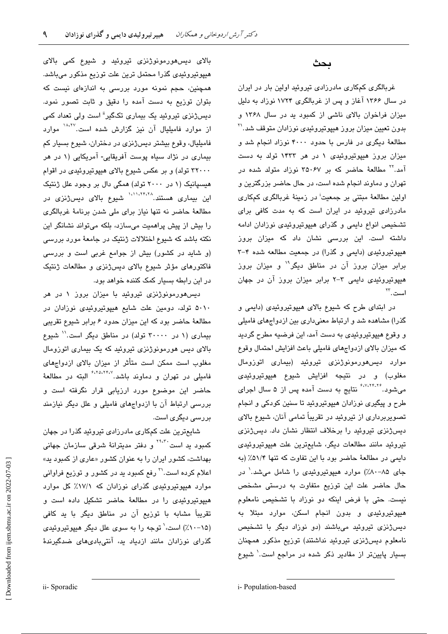غربالگری کمکاری مادرزادی تیروئید اولین بار در ایران در سال ۱۳۶۶ آغاز و پس از غربالگری ۱۷۲۴ نوزاد به دلیل میزان فراخوان بالای ناشی از کمبود ید در سال ۱۳۶۸ و بدون تعیین میزان بروز هیپوتیروئیدی نوزادان متوقف شد.'<sup>۲</sup> مطالعهٔ دیگری در فارس با حدود ۴۰۰۰ نوزاد انجام شد و میزان بروز هیپوتیروئیدی ۱ در هر ۱۴۳۳ تولد به دست آمد.'' مطالعهٔ حاضر که بر ۳۵۰۶۷ نوزاد متولد شده در تهران و دماوند انجام شده است، در حال حاضر بزرگترین و اولین مطالعهٔ مبتنی بر جمعیت<sup>:</sup> در زمینهٔ غربالگری کمکاری مادرزادی تیروئید در ایران است که به مدت کافی برای تشخیص انواع دایمی و گذرای هیپوتیروئیدی نوزادان ادامه داشته است. این بررسی نشان داد که میزان بروز هیپوتیروئیدی (دایمی و گذرا) در جمعیت مطالعه شده ۴-۳ برابر میزان بروز آن در مناطق دیگر<sup>۱۹</sup> و میزان بروز هیپوتیروئیدی دایمی ۳-۲ برابر میزان بروز آن در جهان است.<sup>۲۳</sup>

ىحث

در ابتدای طرح که شیوع بالای هیپوتیروئیدی (دایمی و گذرا) مشاهده شد و ارتباط معنیداری بین ازدواجهای فامیلی و وقوع هیپوتیروئیدی به دست آمد، این فرضیه مطرح گردید که میزان بالای ازدواجهای فامیلی باعث افزایش احتمال وقوع موارد دیس هورمونوژنزی تیروئید (بیماری اتوزومال مغلوب) و در نتيجه افزايش شيوع هيپوتيروئيدي میشود. <sup>۶٬۷٬۲۴</sup>۰۲۶ نتایج به دست آمده پس از ۵ سال اجرای طرح و پیگیری نوزادان هیپوتیروئید تا سنین کودکی و انجام تصویربرداری از تیروئید در تقریباً تمامی آنان، شیوع بالای دیسژنزی تیروئید را برخلاف انتظار نشان داد. دیسژنزی تيروئيد مانند مطالعات ديگر، شايعترين علت هيپوتيروئيدى دايمي در مطالعة حاضر بود با اين تفاوت كه تنها ٥١/٣٪ (به جای ۸۵-۸۰٪) موارد هیپوتیروئیدی را شامل میشد.<sup>۱</sup> در حال حاضر علت این توزیع متفاوت به درستی مشخص نیست. حتی با فرض اینکه دو نوزاد با تشخیص نامعلوم هیپوتیروئیدی و بدون انجام اسکن، موارد مبتلا به دیسژنزی تیروئید میباشند (دو نوزاد دیگر با تشخیص نامعلوم ديسژنزي تيروئيد نداشتند) توزيع مذكور همچنان بسیار پایینتر از مقادیر ذکر شده در مراجع است.<sup>\</sup> شیوع

بالای دیس،هورمونوژنزی تیروئید و شیوع کمی بالای هیپوتیروئیدی گذرا محتمل ترین علت توزیع مذکور میباشد. همچنین، حجم نمونه مورد بررسی به اندازهای نیست که بتوان توزیع به دست آمده را دقیق و ثابت تصور نمود. دیسژنزی تیروئید یک بیماری تکگیر<sup>ة</sup> است ولی تعداد کمی از موارد فامیلیال آن نیز گزارش شده است.<sup>۱۸،۲۷</sup> موارد فاميليال، وقوع بيشتر ديسژنزي در دختران، شيوع بسيار كم بیماری در نژاد سیاه پوست آفریقایی- آمریکایی (۱ در هر ۳۲۰۰۰ تولد) و بر عکس شیوع بالای هیپوتیروئیدی در اقوام هیسپانیک (۱ در ۲۰۰۰ تولد) همگی دال بر وجود علل ژنتیک این بیماری هستند. <sup>۱،۱۱،۲۴،۲۸</sup> شیوع بالای دیسژنزی در مطالعهٔ حاضر نه تنها نیاز برای ملی شدن برنامهٔ غربالگری را بیش از پیش پراهمیت میسازد، بلکه میتواند نشانگر این نکته باشد که شیوع اختلالات ژنتیک در جامعهٔ مورد بررسی (و شاید در کشور) بیش از جوامع غربی است و بررسی فاکتورهای مؤثر شیوع بالای دیسژنزی و مطالعات ژنتیک در این رابطه بسیار کمک کننده خواهد بود.

دیس هورمونوژنزی تیروئید با میزان بروز ۱ در هر ۵۰۱۰ تولد، دومین علت شایع هیپوتیروئیدی نوزادان در مطالعهٔ حاضر بود که این میزان حدود ۶ برابر شیوع تقریبی سماری (۱ در ۳۰۰۰۰ تولد) در مناطق دیگر است.'' شیوع بالای دیس هورمونوژنزی تیروئید که یک بیماری اتوزومال مغلوب است ممکن است متأثر از میزان بالای ازدواجهای فامیلی در تهران و دماوند باشد.<sup>۶،۲۵،۲۴،۷</sup> البته در مطالعهٔ حاضر این موضوع مورد ارزیابی قرار نگرفته است و بررسی ارتباط آن با ازدواجهای فامیلی و علل دیگر نیازمند بررسے دیگری است.

شایعترین علت کمکاری مادرزادی تیروئید گذرا در جهان کمبود پد است<sup>۳۹،۳۰</sup>۰ و دفتر مدیترانهٔ شرق*ی* سازمان جهان*ی* بهداشت، کشور ایران را به عنوان کشور «عاری از کمبود ید» اعلام کرده است.<sup>۳</sup> رفع کمبود ید در کشور و توزیع فراوان*ی* موارد هیپوتیروئیدی گذرای نوزادان که ۱۷/۱٪ کل موارد هیپوتیروئی*دی* را در مطالعهٔ حاضر تشکیل داده است و تقریباً مشابه با توزیع آن در مناطق دیگر با ید کافی (۱۵–۱۰٪) است، توجه را به سوی علل دیگر هیپوتیروئیدی گذرای نوزادان مانند ازدیاد ید، آنتیبادیهای ضدگیرندهٔ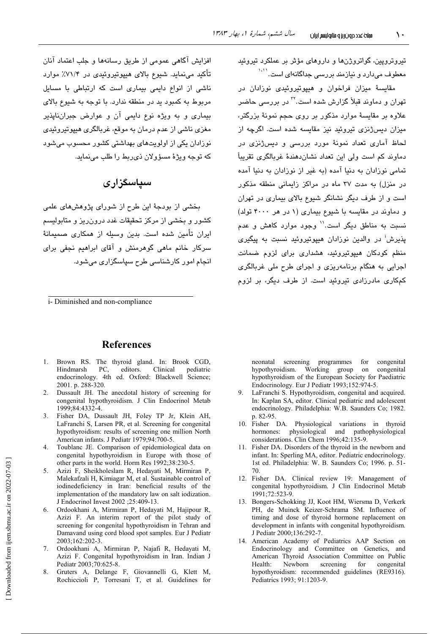افزایش آگاهی عمومی از طریق رسانهها و جلب اعتماد آنان تأکید می;نماید. شیوع بالای هیپوتیروئیدی در ۷۱/۴٪ موارد ناشی از انواع دایمی بیماری است که ارتباطی با مسایل مربوط به کمبود بد در منطقه ندارد. با توجه به شیوع بالای بیماری و به ویژه نوع دایمی آن و عوارض جبران نایذیر مغزی ناشی از عدم درمان به موقع، غربالگری هیپوتیروئیدی نوزادان یکی از اولویتهای بهداشتی کشور محسوب میشود که توجه ویژهٔ مسؤولان دی ربط را طلب می نماید.

# سیاسگزاری

بخشی از بودجهٔ این طرح از شورای پژوهشهای علمی کشور و بخش*ی* از مرکز تحقیقات غدد درون٫یز و متابولی*س*م ایران تأمین شده است. بدین وسیله از همکاری صیمیمانهٔ سرکار خانم ماهی گوهرمنش و آقای ابراهیم نجفی برای انجام امور کارشناس*ی* طرح سیاسگزاری مےشود.

i- Diminished and non-compliance

#### **References**

- Brown RS. The thyroid gland. In: Brook CGD,  $1 \quad$ Hindmarsh PC. editors. Clinical pediatric endocrinology. 4th ed. Oxford: Blackwell Science; 2001. p. 288-320.
- 2. Dussault JH. The anecdotal history of screening for congenital hypothyroidism. J Clin Endocrinol Metab 1999:84:4332-4.
- 3. Fisher DA, Dussault JH, Foley TP Jr, Klein AH, LaFranchi S, Larsen PR, et al. Screening for congenital hypothyroidism: results of screening one million North American infants. J Pediatr 1979;94:700-5.
- Toublanc JE. Comparison of epidemiological data on  $\overline{4}$ congenital hypothyroidism in Europe with those of other parts in the world. Horm Res 1992;38:230-5.
- Azizi F, Sheikholeslam R, Hedayati M, Mirmiran P,  $5<sub>1</sub>$ Malekafzali H, Kimiagar M, et al. Sustainable control of iodinedeficiency in Iran: beneficial results of the implementation of the mandatory law on salt iodization. J Endocrinol Invest 2002 ;25:409-13.
- 6. Ordookhani A, Mirmiran P, Hedavati M, Hajipour R, Azizi F. An interim report of the pilot study of screening for congenital hypothyroidism in Tehran and Damavand using cord blood spot samples. Eur J Pediatr 2003;162:202-3.
- Ordookhani A, Mirmiran P, Najafi R, Hedayati M,  $7.$ Azizi F. Congenital hypothyroidism in Iran. Indian J Pediatr 2003;70:625-8.
- $8<sup>7</sup>$ Gruters A, Delange F, Giovannelli G, Klett M, Rochiccioli P, Torresani T, et al. Guidelines for

تیروتروپین، گواتروژنها و داروهای مؤثر بر عملکرد تیروئید .<br>معطوف میدارد و نیازمند بررسی حداگانهای است.<sup>۱٬۱۱</sup>

مقایسهٔ میزان فراخوان و هیپوتیروئیدی نوزادان در تهران و دماوند قبلاً گزارش شده است.<sup>۳</sup>۲ در بررس*ی* حاضر علاوه بر مقایسهٔ موارد مذکور بر روی حجم نمونهٔ بزرگتر، میزان دیسژنزی تیروئید نیز مقاسیه شده است. اگرچه از لحاظ آماری تعداد نمونهٔ مورد بررسی و دیسژنزی در دماوند کم است ولی این تعداد نشاندهندهٔ غربالگری تقریباً تمامی نوزادان به دنیا آمده (به غیر از نوزادان به دنیا آمده در منزل) به مدت ۳۷ ماه در مراکز زایمانی منطقه مذکور است و از طرف دیگر نشانگر شیوع بالای بیماری در تهران و دماوند در مقایسه با شیوع بیماری (۱ در هر ۴۰۰۰ تولد) نسبت به مناطق دیگر است.'' وجود موارد کاهش و عدم **ی**ذیرش<sup>:</sup> در والدین نوزادان هیپوتیروئید نسبت به پیگیر*ی* منظم کودکان هیپوتیروئید، هشداری برای لزوم ضمانت اجرایی به هنگام برنامهریزی و اجرای طرح ملی غربالگری کمکاری مادرزادی تیروئید است. از طرف دیگر، بر لزوم

neonatal screening programmes  $for$ congenital hypothyroidism. Working group congenital  $\alpha$ n hypothyroidism of the European Society for Paediatric Endocrinology. Eur J Pediatr 1993;152:974-5.

- LaFranchi S. Hypothyroidism, congenital and acquired. In: Kaplan SA, editor. Clinical pediatric and adolescent endocrinology. Philadelphia: W.B. Saunders Co; 1982. p. 82-95.
- 10. Fisher DA. Physiological variations in thyroid hormones: physiological and pathophysiological considerations. Clin Chem 1996;42:135-9.
- $11$ Fisher DA. Disorders of the thyroid in the newborn and infant. In: Sperling MA, editor. Pediatric endocrinology. 1st ed. Philadelphia: W. B. Saunders Co; 1996. p. 51-70.
- 12. Fisher DA. Clinical review 19: Management of congenital hypothyroidism. J Clin Endocrinol Metab 1991;72:523-9.
- 13. Bongers-Schokking JJ, Koot HM, Wiersma D, Verkerk PH, de Muinck Keizer-Schrama SM. Influence of timing and dose of thyroid hormone replacement on development in infants with congenital hypothyroidism. J Pediatr 2000:136:292-7.
- 14. American Academy of Pediatrics AAP Section on Endocrinology and Committee on Genetics, and American Thyroid Association Committee on Public Newborn screening for Health: congenital hypothyroidism: recommended guidelines (RE9316). Pediatrics 1993; 91:1203-9.